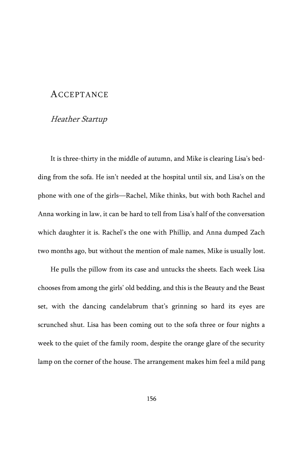# ACCEPTANCE

# Heather Startup

It is three-thirty in the middle of autumn, and Mike is clearing Lisa's bedding from the sofa. He isn't needed at the hospital until six, and Lisa's on the phone with one of the girls—Rachel, Mike thinks, but with both Rachel and Anna working in law, it can be hard to tell from Lisa's half of the conversation which daughter it is. Rachel's the one with Phillip, and Anna dumped Zach two months ago, but without the mention of male names, Mike is usually lost.

He pulls the pillow from its case and untucks the sheets. Each week Lisa chooses from among the girls' old bedding, and this is the Beauty and the Beast set, with the dancing candelabrum that's grinning so hard its eyes are scrunched shut. Lisa has been coming out to the sofa three or four nights a week to the quiet of the family room, despite the orange glare of the security lamp on the corner of the house. The arrangement makes him feel a mild pang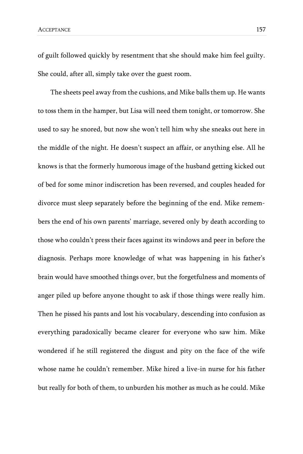of guilt followed quickly by resentment that she should make him feel guilty. She could, after all, simply take over the guest room.

The sheets peel away from the cushions, and Mike balls them up. He wants to toss them in the hamper, but Lisa will need them tonight, or tomorrow. She used to say he snored, but now she won't tell him why she sneaks out here in the middle of the night. He doesn't suspect an affair, or anything else. All he knows is that the formerly humorous image of the husband getting kicked out of bed for some minor indiscretion has been reversed, and couples headed for divorce must sleep separately before the beginning of the end. Mike remembers the end of his own parents' marriage, severed only by death according to those who couldn't press their faces against its windows and peer in before the diagnosis. Perhaps more knowledge of what was happening in his father's brain would have smoothed things over, but the forgetfulness and moments of anger piled up before anyone thought to ask if those things were really him. Then he pissed his pants and lost his vocabulary, descending into confusion as everything paradoxically became clearer for everyone who saw him. Mike wondered if he still registered the disgust and pity on the face of the wife whose name he couldn't remember. Mike hired a live-in nurse for his father but really for both of them, to unburden his mother as much as he could. Mike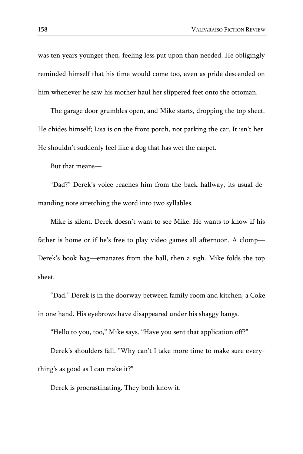was ten years younger then, feeling less put upon than needed. He obligingly reminded himself that his time would come too, even as pride descended on him whenever he saw his mother haul her slippered feet onto the ottoman.

The garage door grumbles open, and Mike starts, dropping the top sheet. He chides himself; Lisa is on the front porch, not parking the car. It isn't her. He shouldn't suddenly feel like a dog that has wet the carpet.

But that means—

"Dad?" Derek's voice reaches him from the back hallway, its usual demanding note stretching the word into two syllables.

Mike is silent. Derek doesn't want to see Mike. He wants to know if his father is home or if he's free to play video games all afternoon. A clomp— Derek's book bag—emanates from the hall, then a sigh. Mike folds the top sheet.

"Dad." Derek is in the doorway between family room and kitchen, a Coke in one hand. His eyebrows have disappeared under his shaggy bangs.

"Hello to you, too," Mike says. "Have you sent that application off?"

Derek's shoulders fall. "Why can't I take more time to make sure everything's as good as I can make it?"

Derek is procrastinating. They both know it.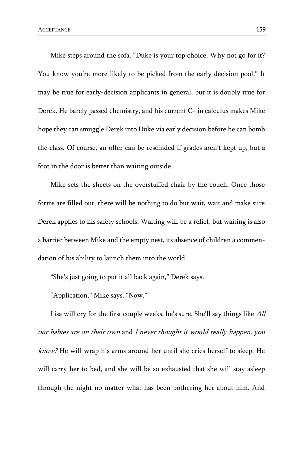Mike steps around the sofa. "Duke is your top choice. Why not go for it? You know you're more likely to be picked from the early decision pool." It may be true for early-decision applicants in general, but it is doubly true for Derek. He barely passed chemistry, and his current C+ in calculus makes Mike hope they can smuggle Derek into Duke via early decision before he can bomb the class. Of course, an offer can be rescinded if grades aren't kept up, but a foot in the door is better than waiting outside.

Mike sets the sheets on the overstuffed chair by the couch. Once those forms are filled out, there will be nothing to do but wait, wait and make sure Derek applies to his safety schools. Waiting will be a relief, but waiting is also a barrier between Mike and the empty nest, its absence of children a commendation of his ability to launch them into the world.

"She's just going to put it all back again," Derek says.

"Application," Mike says. "Now."

Lisa will cry for the first couple weeks, he's sure. She'll say things like All our babies are on their own and I never thought it would really happen, you know? He will wrap his arms around her until she cries herself to sleep. He will carry her to bed, and she will be so exhausted that she will stay asleep through the night no matter what has been bothering her about him. And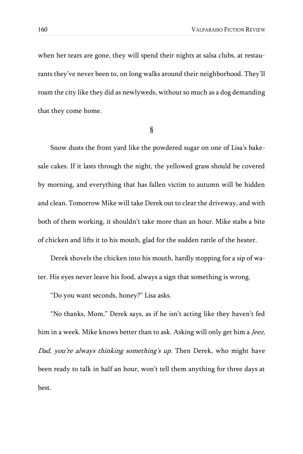when her tears are gone, they will spend their nights at salsa clubs, at restaurants they've never been to, on long walks around their neighborhood. They'll roam the city like they did as newlyweds, without so much as a dog demanding that they come home.

§

Snow dusts the front yard like the powdered sugar on one of Lisa's bakesale cakes. If it lasts through the night, the yellowed grass should be covered by morning, and everything that has fallen victim to autumn will be hidden and clean. Tomorrow Mike will take Derek out to clear the driveway, and with both of them working, it shouldn't take more than an hour. Mike stabs a bite of chicken and lifts it to his mouth, glad for the sudden rattle of the heater.

Derek shovels the chicken into his mouth, hardly stopping for a sip of water. His eyes never leave his food, always a sign that something is wrong.

"Do you want seconds, honey?" Lisa asks.

"No thanks, Mom," Derek says, as if he isn't acting like they haven't fed him in a week. Mike knows better than to ask. Asking will only get him a Jeez, Dad, you're always thinking something's up. Then Derek, who might have been ready to talk in half an hour, won't tell them anything for three days at best.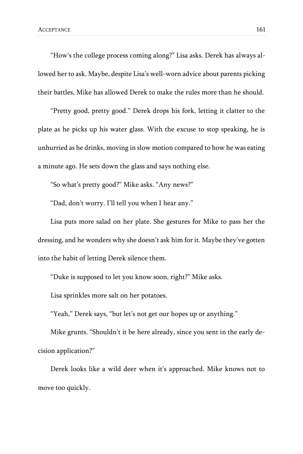"How's the college process coming along?" Lisa asks. Derek has always allowed her to ask. Maybe, despite Lisa's well-worn advice about parents picking their battles, Mike has allowed Derek to make the rules more than he should.

"Pretty good, pretty good." Derek drops his fork, letting it clatter to the plate as he picks up his water glass. With the excuse to stop speaking, he is unhurried as he drinks, moving in slow motion compared to how he was eating a minute ago. He sets down the glass and says nothing else.

"So what's pretty good?" Mike asks. "Any news?"

"Dad, don't worry. I'll tell you when I hear any."

Lisa puts more salad on her plate. She gestures for Mike to pass her the dressing, and he wonders why she doesn't ask him for it. Maybe they've gotten into the habit of letting Derek silence them.

"Duke is supposed to let you know soon, right?" Mike asks.

Lisa sprinkles more salt on her potatoes.

"Yeah," Derek says, "but let's not get our hopes up or anything."

Mike grunts. "Shouldn't it be here already, since you sent in the early decision application?"

Derek looks like a wild deer when it's approached. Mike knows not to move too quickly.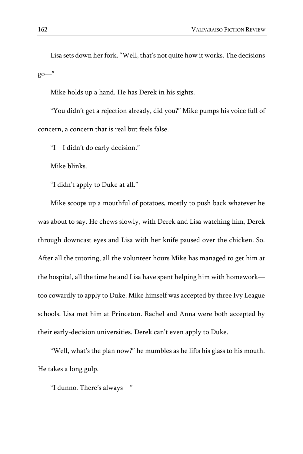Lisa sets down her fork. "Well, that's not quite how it works. The decisions go—"

Mike holds up a hand. He has Derek in his sights.

"You didn't get a rejection already, did you?" Mike pumps his voice full of concern, a concern that is real but feels false.

"I—I didn't do early decision."

Mike blinks.

"I didn't apply to Duke at all."

Mike scoops up a mouthful of potatoes, mostly to push back whatever he was about to say. He chews slowly, with Derek and Lisa watching him, Derek through downcast eyes and Lisa with her knife paused over the chicken. So. After all the tutoring, all the volunteer hours Mike has managed to get him at the hospital, all the time he and Lisa have spent helping him with homework too cowardly to apply to Duke. Mike himself was accepted by three Ivy League schools. Lisa met him at Princeton. Rachel and Anna were both accepted by their early-decision universities. Derek can't even apply to Duke.

"Well, what's the plan now?" he mumbles as he lifts his glass to his mouth. He takes a long gulp.

"I dunno. There's always—"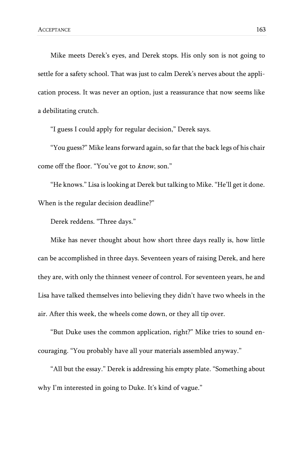Mike meets Derek's eyes, and Derek stops. His only son is not going to settle for a safety school. That was just to calm Derek's nerves about the application process. It was never an option, just a reassurance that now seems like a debilitating crutch.

"I guess I could apply for regular decision," Derek says.

"You guess?" Mike leans forward again, so far that the back legs of his chair come off the floor. "You've got to know, son."

"He knows." Lisa is looking at Derek but talking to Mike. "He'll get it done. When is the regular decision deadline?"

Derek reddens. "Three days."

Mike has never thought about how short three days really is, how little can be accomplished in three days. Seventeen years of raising Derek, and here they are, with only the thinnest veneer of control. For seventeen years, he and Lisa have talked themselves into believing they didn't have two wheels in the air. After this week, the wheels come down, or they all tip over.

"But Duke uses the common application, right?" Mike tries to sound encouraging. "You probably have all your materials assembled anyway."

"All but the essay." Derek is addressing his empty plate. "Something about why I'm interested in going to Duke. It's kind of vague."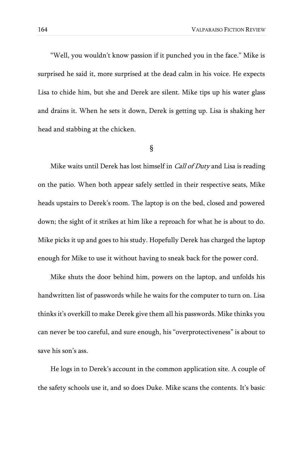"Well, you wouldn't know passion if it punched you in the face." Mike is surprised he said it, more surprised at the dead calm in his voice. He expects Lisa to chide him, but she and Derek are silent. Mike tips up his water glass and drains it. When he sets it down, Derek is getting up. Lisa is shaking her head and stabbing at the chicken.

#### §

Mike waits until Derek has lost himself in *Call of Duty* and Lisa is reading on the patio. When both appear safely settled in their respective seats, Mike heads upstairs to Derek's room. The laptop is on the bed, closed and powered down; the sight of it strikes at him like a reproach for what he is about to do. Mike picks it up and goes to his study. Hopefully Derek has charged the laptop enough for Mike to use it without having to sneak back for the power cord.

Mike shuts the door behind him, powers on the laptop, and unfolds his handwritten list of passwords while he waits for the computer to turn on. Lisa thinks it's overkill to make Derek give them all his passwords. Mike thinks you can never be too careful, and sure enough, his "overprotectiveness" is about to save his son's ass.

He logs in to Derek's account in the common application site. A couple of the safety schools use it, and so does Duke. Mike scans the contents. It's basic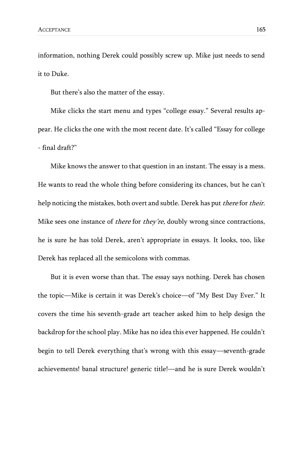information, nothing Derek could possibly screw up. Mike just needs to send it to Duke.

But there's also the matter of the essay.

Mike clicks the start menu and types "college essay." Several results appear. He clicks the one with the most recent date. It's called "Essay for college - final draft?"

Mike knows the answer to that question in an instant. The essay is a mess. He wants to read the whole thing before considering its chances, but he can't help noticing the mistakes, both overt and subtle. Derek has put there for their. Mike sees one instance of *there* for *they're*, doubly wrong since contractions, he is sure he has told Derek, aren't appropriate in essays. It looks, too, like Derek has replaced all the semicolons with commas.

But it is even worse than that. The essay says nothing. Derek has chosen the topic—Mike is certain it was Derek's choice—of "My Best Day Ever." It covers the time his seventh-grade art teacher asked him to help design the backdrop for the school play. Mike has no idea this ever happened. He couldn't begin to tell Derek everything that's wrong with this essay—seventh-grade achievements! banal structure! generic title!—and he is sure Derek wouldn't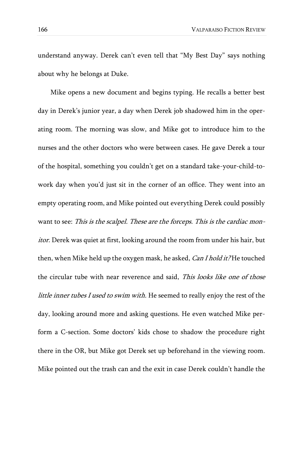understand anyway. Derek can't even tell that "My Best Day" says nothing about why he belongs at Duke.

Mike opens a new document and begins typing. He recalls a better best day in Derek's junior year, a day when Derek job shadowed him in the operating room. The morning was slow, and Mike got to introduce him to the nurses and the other doctors who were between cases. He gave Derek a tour of the hospital, something you couldn't get on a standard take-your-child-towork day when you'd just sit in the corner of an office. They went into an empty operating room, and Mike pointed out everything Derek could possibly want to see: This is the scalpel. These are the forceps. This is the cardiac monitor. Derek was quiet at first, looking around the room from under his hair, but then, when Mike held up the oxygen mask, he asked, Can I hold it? He touched the circular tube with near reverence and said, This looks like one of those little inner tubes I used to swim with. He seemed to really enjoy the rest of the day, looking around more and asking questions. He even watched Mike perform a C-section. Some doctors' kids chose to shadow the procedure right there in the OR, but Mike got Derek set up beforehand in the viewing room. Mike pointed out the trash can and the exit in case Derek couldn't handle the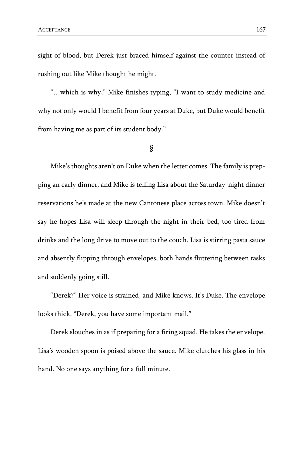sight of blood, but Derek just braced himself against the counter instead of rushing out like Mike thought he might.

"…which is why," Mike finishes typing, "I want to study medicine and why not only would I benefit from four years at Duke, but Duke would benefit from having me as part of its student body."

### §

Mike's thoughts aren't on Duke when the letter comes. The family is prepping an early dinner, and Mike is telling Lisa about the Saturday-night dinner reservations he's made at the new Cantonese place across town. Mike doesn't say he hopes Lisa will sleep through the night in their bed, too tired from drinks and the long drive to move out to the couch. Lisa is stirring pasta sauce and absently flipping through envelopes, both hands fluttering between tasks and suddenly going still.

"Derek?" Her voice is strained, and Mike knows. It's Duke. The envelope looks thick. "Derek, you have some important mail."

Derek slouches in as if preparing for a firing squad. He takes the envelope. Lisa's wooden spoon is poised above the sauce. Mike clutches his glass in his hand. No one says anything for a full minute.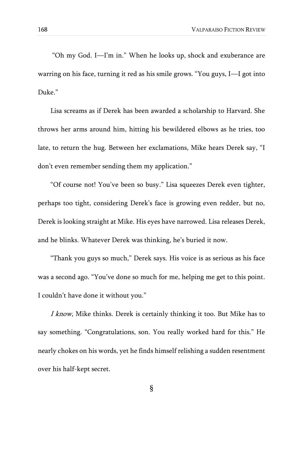"Oh my God. I—I'm in." When he looks up, shock and exuberance are warring on his face, turning it red as his smile grows. "You guys, I—I got into Duke."

Lisa screams as if Derek has been awarded a scholarship to Harvard. She throws her arms around him, hitting his bewildered elbows as he tries, too late, to return the hug. Between her exclamations, Mike hears Derek say, "I don't even remember sending them my application."

"Of course not! You've been so busy." Lisa squeezes Derek even tighter, perhaps too tight, considering Derek's face is growing even redder, but no, Derek is looking straight at Mike. His eyes have narrowed. Lisa releases Derek, and he blinks. Whatever Derek was thinking, he's buried it now.

"Thank you guys so much," Derek says. His voice is as serious as his face was a second ago. "You've done so much for me, helping me get to this point. I couldn't have done it without you."

I know, Mike thinks. Derek is certainly thinking it too. But Mike has to say something. "Congratulations, son. You really worked hard for this." He nearly chokes on his words, yet he finds himself relishing a sudden resentment over his half-kept secret.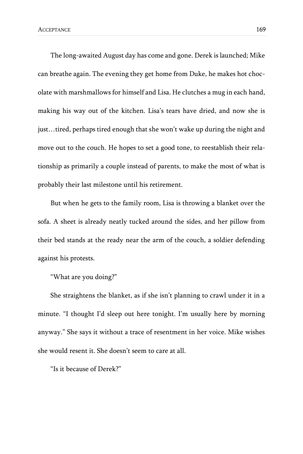The long-awaited August day has come and gone. Derek is launched; Mike can breathe again. The evening they get home from Duke, he makes hot chocolate with marshmallows for himself and Lisa. He clutches a mug in each hand, making his way out of the kitchen. Lisa's tears have dried, and now she is just…tired, perhaps tired enough that she won't wake up during the night and move out to the couch. He hopes to set a good tone, to reestablish their relationship as primarily a couple instead of parents, to make the most of what is probably their last milestone until his retirement.

But when he gets to the family room, Lisa is throwing a blanket over the sofa. A sheet is already neatly tucked around the sides, and her pillow from their bed stands at the ready near the arm of the couch, a soldier defending against his protests.

"What are you doing?"

She straightens the blanket, as if she isn't planning to crawl under it in a minute. "I thought I'd sleep out here tonight. I'm usually here by morning anyway." She says it without a trace of resentment in her voice. Mike wishes she would resent it. She doesn't seem to care at all.

"Is it because of Derek?"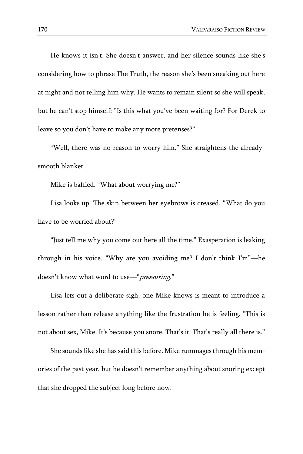He knows it isn't. She doesn't answer, and her silence sounds like she's considering how to phrase The Truth, the reason she's been sneaking out here at night and not telling him why. He wants to remain silent so she will speak, but he can't stop himself: "Is this what you've been waiting for? For Derek to leave so you don't have to make any more pretenses?"

"Well, there was no reason to worry him." She straightens the alreadysmooth blanket.

Mike is baffled. "What about worrying me?"

Lisa looks up. The skin between her eyebrows is creased. "What do you have to be worried about?"

"Just tell me why you come out here all the time." Exasperation is leaking through in his voice. "Why are you avoiding me? I don't think I'm"—he doesn't know what word to use—"*pressuring.*"

Lisa lets out a deliberate sigh, one Mike knows is meant to introduce a lesson rather than release anything like the frustration he is feeling. "This is not about sex, Mike. It's because you snore. That's it. That's really all there is."

She sounds like she has said this before. Mike rummages through his memories of the past year, but he doesn't remember anything about snoring except that she dropped the subject long before now.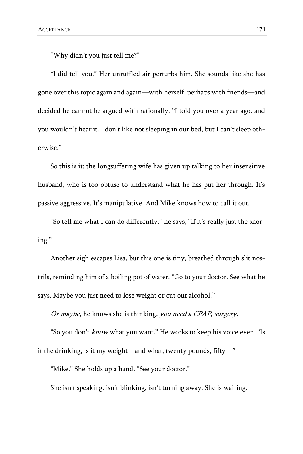"Why didn't you just tell me?"

"I did tell you." Her unruffled air perturbs him. She sounds like she has gone over this topic again and again—with herself, perhaps with friends—and decided he cannot be argued with rationally. "I told you over a year ago, and you wouldn't hear it. I don't like not sleeping in our bed, but I can't sleep otherwise."

So this is it: the longsuffering wife has given up talking to her insensitive husband, who is too obtuse to understand what he has put her through. It's passive aggressive. It's manipulative. And Mike knows how to call it out.

"So tell me what I can do differently," he says, "if it's really just the snoring."

Another sigh escapes Lisa, but this one is tiny, breathed through slit nostrils, reminding him of a boiling pot of water. "Go to your doctor. See what he says. Maybe you just need to lose weight or cut out alcohol."

Or maybe, he knows she is thinking, you need a CPAP, surgery.

"So you don't *know* what you want." He works to keep his voice even. "Is it the drinking, is it my weight—and what, twenty pounds, fifty—"

"Mike." She holds up a hand. "See your doctor."

She isn't speaking, isn't blinking, isn't turning away. She is waiting.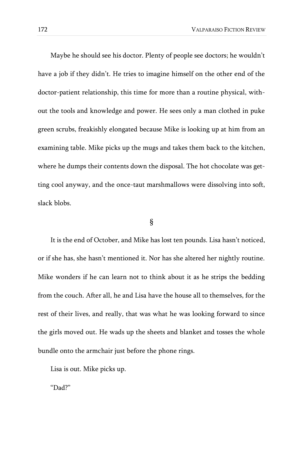Maybe he should see his doctor. Plenty of people see doctors; he wouldn't have a job if they didn't. He tries to imagine himself on the other end of the doctor-patient relationship, this time for more than a routine physical, without the tools and knowledge and power. He sees only a man clothed in puke green scrubs, freakishly elongated because Mike is looking up at him from an examining table. Mike picks up the mugs and takes them back to the kitchen, where he dumps their contents down the disposal. The hot chocolate was getting cool anyway, and the once-taut marshmallows were dissolving into soft, slack blobs.

### §

It is the end of October, and Mike has lost ten pounds. Lisa hasn't noticed, or if she has, she hasn't mentioned it. Nor has she altered her nightly routine. Mike wonders if he can learn not to think about it as he strips the bedding from the couch. After all, he and Lisa have the house all to themselves, for the rest of their lives, and really, that was what he was looking forward to since the girls moved out. He wads up the sheets and blanket and tosses the whole bundle onto the armchair just before the phone rings.

Lisa is out. Mike picks up.

"Dad?"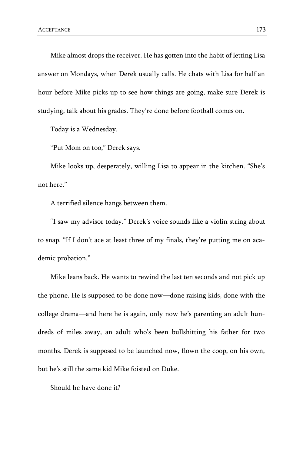Mike almost drops the receiver. He has gotten into the habit of letting Lisa answer on Mondays, when Derek usually calls. He chats with Lisa for half an hour before Mike picks up to see how things are going, make sure Derek is studying, talk about his grades. They're done before football comes on.

Today is a Wednesday.

"Put Mom on too," Derek says.

Mike looks up, desperately, willing Lisa to appear in the kitchen. "She's not here."

A terrified silence hangs between them.

"I saw my advisor today." Derek's voice sounds like a violin string about to snap. "If I don't ace at least three of my finals, they're putting me on academic probation."

Mike leans back. He wants to rewind the last ten seconds and not pick up the phone. He is supposed to be done now—done raising kids, done with the college drama—and here he is again, only now he's parenting an adult hundreds of miles away, an adult who's been bullshitting his father for two months. Derek is supposed to be launched now, flown the coop, on his own, but he's still the same kid Mike foisted on Duke.

Should he have done it?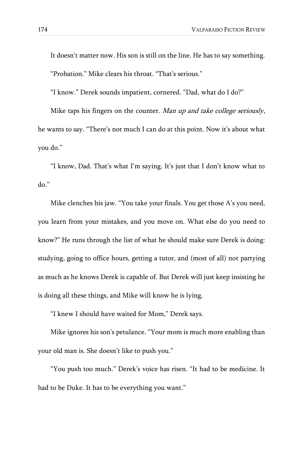It doesn't matter now. His son is still on the line. He has to say something. "Probation." Mike clears his throat. "That's serious."

"I know." Derek sounds impatient, cornered. "Dad, what do I do?"

Mike taps his fingers on the counter. Man up and take college seriously, he wants to say. "There's not much I can do at this point. Now it's about what you do."

"I know, Dad. That's what I'm saying. It's just that I don't know what to do."

Mike clenches his jaw. "You take your finals. You get those A's you need, you learn from your mistakes, and you move on. What else do you need to know?" He runs through the list of what he should make sure Derek is doing: studying, going to office hours, getting a tutor, and (most of all) not partying as much as he knows Derek is capable of. But Derek will just keep insisting he is doing all these things, and Mike will know he is lying.

"I knew I should have waited for Mom," Derek says.

Mike ignores his son's petulance. "Your mom is much more enabling than your old man is. She doesn't like to push you."

"You push too much." Derek's voice has risen. "It had to be medicine. It had to be Duke. It has to be everything you want."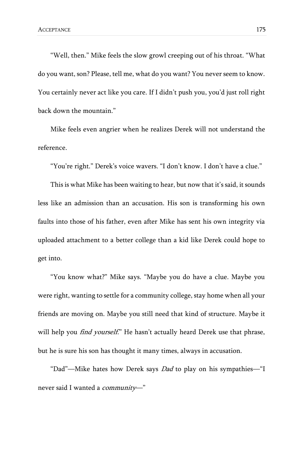"Well, then." Mike feels the slow growl creeping out of his throat. "What do you want, son? Please, tell me, what do you want? You never seem to know. You certainly never act like you care. If I didn't push you, you'd just roll right back down the mountain."

Mike feels even angrier when he realizes Derek will not understand the reference.

"You're right." Derek's voice wavers. "I don't know. I don't have a clue."

This is what Mike has been waiting to hear, but now that it's said, it sounds less like an admission than an accusation. His son is transforming his own faults into those of his father, even after Mike has sent his own integrity via uploaded attachment to a better college than a kid like Derek could hope to get into.

"You know what?" Mike says. "Maybe you do have a clue. Maybe you were right, wanting to settle for a community college, stay home when all your friends are moving on. Maybe you still need that kind of structure. Maybe it will help you *find yourself.*" He hasn't actually heard Derek use that phrase, but he is sure his son has thought it many times, always in accusation.

"Dad"—Mike hates how Derek says Dad to play on his sympathies—"I never said I wanted a *community*-"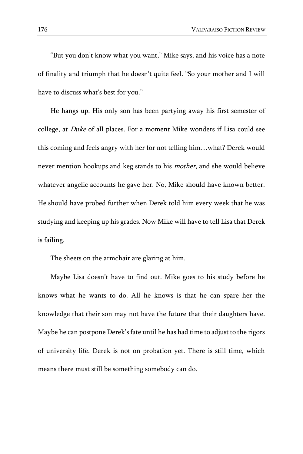"But you don't know what you want," Mike says, and his voice has a note of finality and triumph that he doesn't quite feel. "So your mother and I will have to discuss what's best for you."

He hangs up. His only son has been partying away his first semester of college, at Duke of all places. For a moment Mike wonders if Lisa could see this coming and feels angry with her for not telling him…what? Derek would never mention hookups and keg stands to his *mother*, and she would believe whatever angelic accounts he gave her. No, Mike should have known better. He should have probed further when Derek told him every week that he was studying and keeping up his grades. Now Mike will have to tell Lisa that Derek is failing.

The sheets on the armchair are glaring at him.

Maybe Lisa doesn't have to find out. Mike goes to his study before he knows what he wants to do. All he knows is that he can spare her the knowledge that their son may not have the future that their daughters have. Maybe he can postpone Derek's fate until he has had time to adjust to the rigors of university life. Derek is not on probation yet. There is still time, which means there must still be something somebody can do.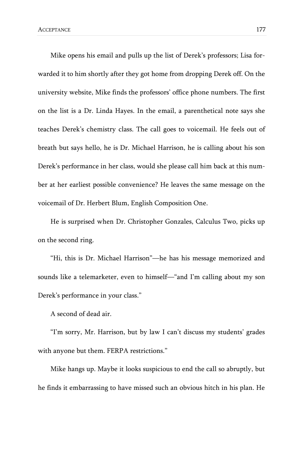Mike opens his email and pulls up the list of Derek's professors; Lisa forwarded it to him shortly after they got home from dropping Derek off. On the university website, Mike finds the professors' office phone numbers. The first on the list is a Dr. Linda Hayes. In the email, a parenthetical note says she teaches Derek's chemistry class. The call goes to voicemail. He feels out of breath but says hello, he is Dr. Michael Harrison, he is calling about his son Derek's performance in her class, would she please call him back at this number at her earliest possible convenience? He leaves the same message on the voicemail of Dr. Herbert Blum, English Composition One.

He is surprised when Dr. Christopher Gonzales, Calculus Two, picks up on the second ring.

"Hi, this is Dr. Michael Harrison"—he has his message memorized and sounds like a telemarketer, even to himself—"and I'm calling about my son Derek's performance in your class."

A second of dead air.

"I'm sorry, Mr. Harrison, but by law I can't discuss my students' grades with anyone but them. FERPA restrictions."

Mike hangs up. Maybe it looks suspicious to end the call so abruptly, but he finds it embarrassing to have missed such an obvious hitch in his plan. He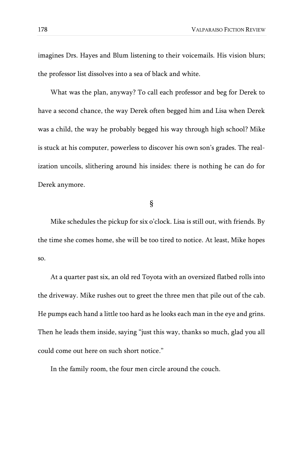imagines Drs. Hayes and Blum listening to their voicemails. His vision blurs; the professor list dissolves into a sea of black and white.

What was the plan, anyway? To call each professor and beg for Derek to have a second chance, the way Derek often begged him and Lisa when Derek was a child, the way he probably begged his way through high school? Mike is stuck at his computer, powerless to discover his own son's grades. The realization uncoils, slithering around his insides: there is nothing he can do for Derek anymore.

§

Mike schedules the pickup for six o'clock. Lisa is still out, with friends. By the time she comes home, she will be too tired to notice. At least, Mike hopes so.

At a quarter past six, an old red Toyota with an oversized flatbed rolls into the driveway. Mike rushes out to greet the three men that pile out of the cab. He pumps each hand a little too hard as he looks each man in the eye and grins. Then he leads them inside, saying "just this way, thanks so much, glad you all could come out here on such short notice."

In the family room, the four men circle around the couch.